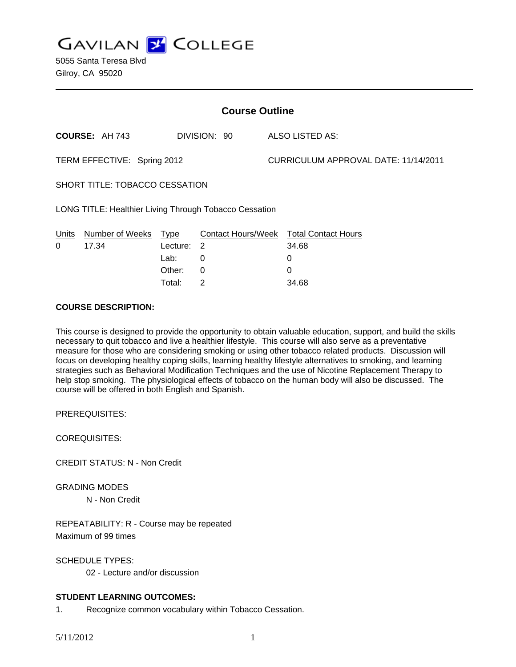**GAVILAN Z COLLEGE** 

5055 Santa Teresa Blvd Gilroy, CA 95020

| <b>Course Outline</b>                                  |                       |             |                           |                                      |                            |
|--------------------------------------------------------|-----------------------|-------------|---------------------------|--------------------------------------|----------------------------|
|                                                        | <b>COURSE: AH 743</b> |             | DIVISION: 90              |                                      | ALSO LISTED AS:            |
| TERM EFFECTIVE: Spring 2012                            |                       |             |                           | CURRICULUM APPROVAL DATE: 11/14/2011 |                            |
| SHORT TITLE: TOBACCO CESSATION                         |                       |             |                           |                                      |                            |
| LONG TITLE: Healthier Living Through Tobacco Cessation |                       |             |                           |                                      |                            |
| Units                                                  | Number of Weeks       | <u>Type</u> | <b>Contact Hours/Week</b> |                                      | <b>Total Contact Hours</b> |
| 0                                                      | 17.34                 | Lecture:    | 2                         |                                      | 34.68                      |
|                                                        |                       | Lab:        | 0                         |                                      | 0                          |
|                                                        |                       | Other:      | 0                         |                                      | 0                          |
|                                                        |                       | Total:      | 2                         |                                      | 34.68                      |

### **COURSE DESCRIPTION:**

This course is designed to provide the opportunity to obtain valuable education, support, and build the skills necessary to quit tobacco and live a healthier lifestyle. This course will also serve as a preventative measure for those who are considering smoking or using other tobacco related products. Discussion will focus on developing healthy coping skills, learning healthy lifestyle alternatives to smoking, and learning strategies such as Behavioral Modification Techniques and the use of Nicotine Replacement Therapy to help stop smoking. The physiological effects of tobacco on the human body will also be discussed. The course will be offered in both English and Spanish.

PREREQUISITES:

COREQUISITES:

CREDIT STATUS: N - Non Credit

GRADING MODES N - Non Credit

REPEATABILITY: R - Course may be repeated Maximum of 99 times

SCHEDULE TYPES:

02 - Lecture and/or discussion

# **STUDENT LEARNING OUTCOMES:**

1. Recognize common vocabulary within Tobacco Cessation.

5/11/2012 1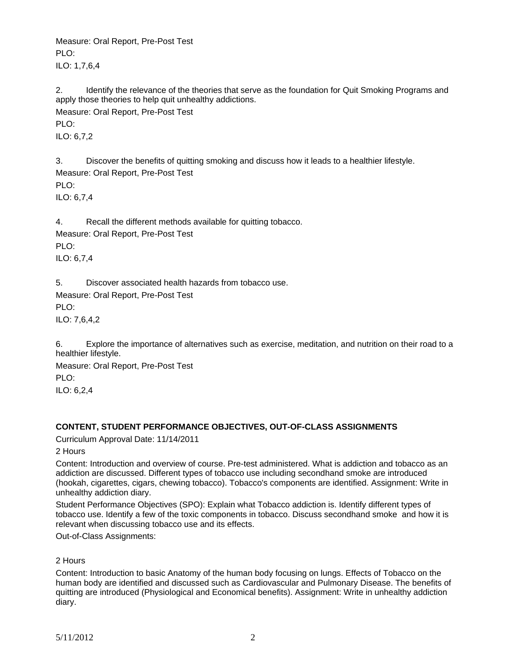Measure: Oral Report, Pre-Post Test  $PIO:$ ILO: 1,7,6,4

2. Identify the relevance of the theories that serve as the foundation for Quit Smoking Programs and apply those theories to help quit unhealthy addictions. Measure: Oral Report, Pre-Post Test  $PIO:$ ILO: 6,7,2

3. Discover the benefits of quitting smoking and discuss how it leads to a healthier lifestyle. Measure: Oral Report, Pre-Post Test PLO: ILO: 6,7,4

4. Recall the different methods available for quitting tobacco. Measure: Oral Report, Pre-Post Test PLO: ILO: 6,7,4

5. Discover associated health hazards from tobacco use. Measure: Oral Report, Pre-Post Test PLO:

ILO: 7,6,4,2

6. Explore the importance of alternatives such as exercise, meditation, and nutrition on their road to a healthier lifestyle.

Measure: Oral Report, Pre-Post Test PLO: ILO: 6,2,4

# **CONTENT, STUDENT PERFORMANCE OBJECTIVES, OUT-OF-CLASS ASSIGNMENTS**

Curriculum Approval Date: 11/14/2011

2 Hours

Content: Introduction and overview of course. Pre-test administered. What is addiction and tobacco as an addiction are discussed. Different types of tobacco use including secondhand smoke are introduced (hookah, cigarettes, cigars, chewing tobacco). Tobacco's components are identified. Assignment: Write in unhealthy addiction diary.

Student Performance Objectives (SPO): Explain what Tobacco addiction is. Identify different types of tobacco use. Identify a few of the toxic components in tobacco. Discuss secondhand smoke and how it is relevant when discussing tobacco use and its effects.

Out-of-Class Assignments:

2 Hours

Content: Introduction to basic Anatomy of the human body focusing on lungs. Effects of Tobacco on the human body are identified and discussed such as Cardiovascular and Pulmonary Disease. The benefits of quitting are introduced (Physiological and Economical benefits). Assignment: Write in unhealthy addiction diary.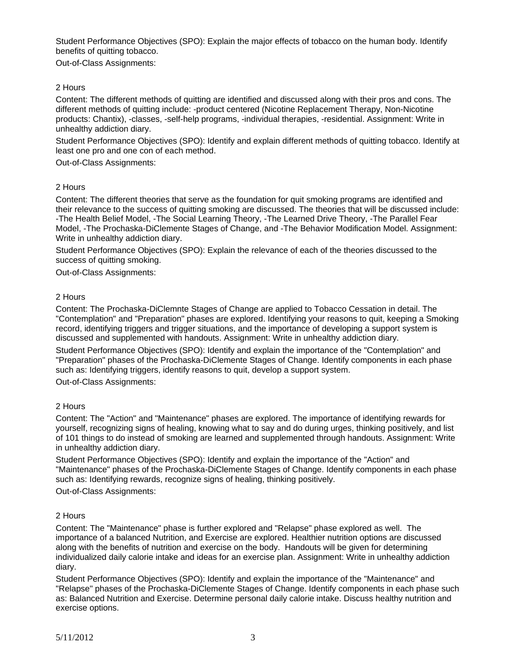Student Performance Objectives (SPO): Explain the major effects of tobacco on the human body. Identify benefits of quitting tobacco.

Out-of-Class Assignments:

# 2 Hours

Content: The different methods of quitting are identified and discussed along with their pros and cons. The different methods of quitting include: -product centered (Nicotine Replacement Therapy, Non-Nicotine products: Chantix), -classes, -self-help programs, -individual therapies, -residential. Assignment: Write in unhealthy addiction diary.

Student Performance Objectives (SPO): Identify and explain different methods of quitting tobacco. Identify at least one pro and one con of each method.

Out-of-Class Assignments:

### 2 Hours

Content: The different theories that serve as the foundation for quit smoking programs are identified and their relevance to the success of quitting smoking are discussed. The theories that will be discussed include: -The Health Belief Model, -The Social Learning Theory, -The Learned Drive Theory, -The Parallel Fear Model, -The Prochaska-DiClemente Stages of Change, and -The Behavior Modification Model. Assignment: Write in unhealthy addiction diary.

Student Performance Objectives (SPO): Explain the relevance of each of the theories discussed to the success of quitting smoking.

Out-of-Class Assignments:

### 2 Hours

Content: The Prochaska-DiClemnte Stages of Change are applied to Tobacco Cessation in detail. The "Contemplation" and "Preparation" phases are explored. Identifying your reasons to quit, keeping a Smoking record, identifying triggers and trigger situations, and the importance of developing a support system is discussed and supplemented with handouts. Assignment: Write in unhealthy addiction diary.

Student Performance Objectives (SPO): Identify and explain the importance of the "Contemplation" and "Preparation" phases of the Prochaska-DiClemente Stages of Change. Identify components in each phase such as: Identifying triggers, identify reasons to quit, develop a support system.

Out-of-Class Assignments:

#### 2 Hours

Content: The "Action" and "Maintenance" phases are explored. The importance of identifying rewards for yourself, recognizing signs of healing, knowing what to say and do during urges, thinking positively, and list of 101 things to do instead of smoking are learned and supplemented through handouts. Assignment: Write in unhealthy addiction diary.

Student Performance Objectives (SPO): Identify and explain the importance of the "Action" and "Maintenance" phases of the Prochaska-DiClemente Stages of Change. Identify components in each phase such as: Identifying rewards, recognize signs of healing, thinking positively.

Out-of-Class Assignments:

#### 2 Hours

Content: The "Maintenance" phase is further explored and "Relapse" phase explored as well. The importance of a balanced Nutrition, and Exercise are explored. Healthier nutrition options are discussed along with the benefits of nutrition and exercise on the body. Handouts will be given for determining individualized daily calorie intake and ideas for an exercise plan. Assignment: Write in unhealthy addiction diary.

Student Performance Objectives (SPO): Identify and explain the importance of the "Maintenance" and "Relapse" phases of the Prochaska-DiClemente Stages of Change. Identify components in each phase such as: Balanced Nutrition and Exercise. Determine personal daily calorie intake. Discuss healthy nutrition and exercise options.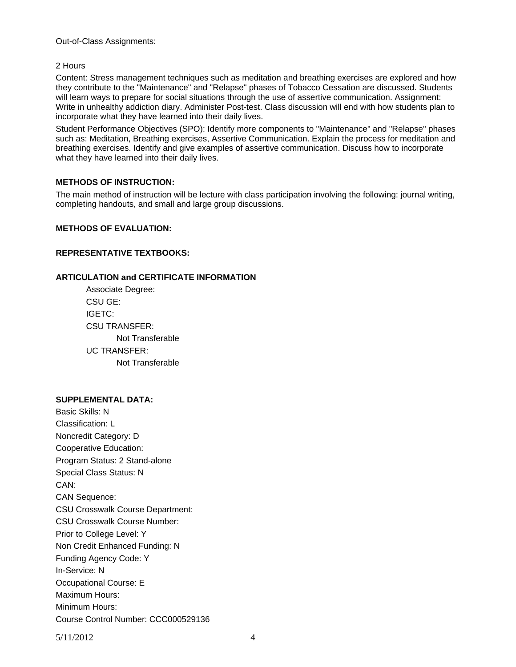Out-of-Class Assignments:

## 2 Hours

Content: Stress management techniques such as meditation and breathing exercises are explored and how they contribute to the "Maintenance" and "Relapse" phases of Tobacco Cessation are discussed. Students will learn ways to prepare for social situations through the use of assertive communication. Assignment: Write in unhealthy addiction diary. Administer Post-test. Class discussion will end with how students plan to incorporate what they have learned into their daily lives.

Student Performance Objectives (SPO): Identify more components to "Maintenance" and "Relapse" phases such as: Meditation, Breathing exercises, Assertive Communication. Explain the process for meditation and breathing exercises. Identify and give examples of assertive communication. Discuss how to incorporate what they have learned into their daily lives.

### **METHODS OF INSTRUCTION:**

The main method of instruction will be lecture with class participation involving the following: journal writing, completing handouts, and small and large group discussions.

### **METHODS OF EVALUATION:**

# **REPRESENTATIVE TEXTBOOKS:**

### **ARTICULATION and CERTIFICATE INFORMATION**

 Associate Degree: CSU GE: IGETC: CSU TRANSFER: Not Transferable UC TRANSFER: Not Transferable

#### **SUPPLEMENTAL DATA:**

Basic Skills: N Classification: L Noncredit Category: D Cooperative Education: Program Status: 2 Stand-alone Special Class Status: N CAN: CAN Sequence: CSU Crosswalk Course Department: CSU Crosswalk Course Number: Prior to College Level: Y Non Credit Enhanced Funding: N Funding Agency Code: Y In-Service: N Occupational Course: E Maximum Hours: Minimum Hours: Course Control Number: CCC000529136